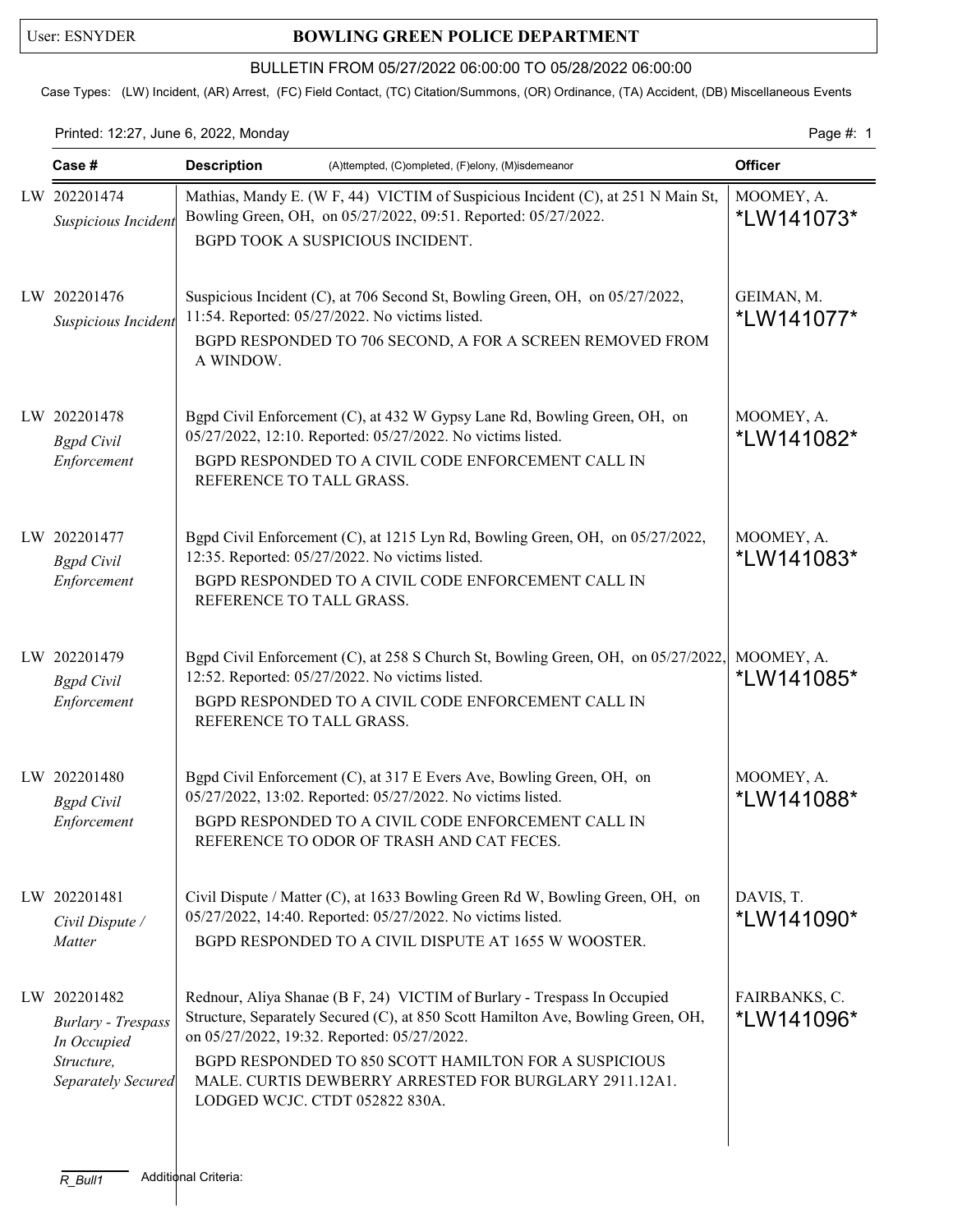## User: ESNYDER **BOWLING GREEN POLICE DEPARTMENT**

## BULLETIN FROM 05/27/2022 06:00:00 TO 05/28/2022 06:00:00

Case Types: (LW) Incident, (AR) Arrest, (FC) Field Contact, (TC) Citation/Summons, (OR) Ordinance, (TA) Accident, (DB) Miscellaneous Events

Printed: 12:27, June 6, 2022, Monday **Page #: 1** Page #: 1

| Case #                                                                                       | <b>Description</b><br>(A)ttempted, (C)ompleted, (F)elony, (M)isdemeanor                                                                                                                                                                                                                                                                                          |                                  |
|----------------------------------------------------------------------------------------------|------------------------------------------------------------------------------------------------------------------------------------------------------------------------------------------------------------------------------------------------------------------------------------------------------------------------------------------------------------------|----------------------------------|
| LW 202201474<br>Suspicious Incident                                                          | Mathias, Mandy E. (W F, 44) VICTIM of Suspicious Incident (C), at 251 N Main St,<br>Bowling Green, OH, on 05/27/2022, 09:51. Reported: 05/27/2022.<br>BGPD TOOK A SUSPICIOUS INCIDENT.                                                                                                                                                                           | MOOMEY, A.<br>*LW141073*         |
| LW 202201476<br>Suspicious Incident                                                          | Suspicious Incident (C), at 706 Second St, Bowling Green, OH, on 05/27/2022,<br>11:54. Reported: 05/27/2022. No victims listed.<br>BGPD RESPONDED TO 706 SECOND, A FOR A SCREEN REMOVED FROM<br>A WINDOW.                                                                                                                                                        | GEIMAN, M.<br>*LW141077*         |
| LW 202201478<br><b>Bgpd</b> Civil<br>Enforcement                                             | Bgpd Civil Enforcement (C), at 432 W Gypsy Lane Rd, Bowling Green, OH, on<br>05/27/2022, 12:10. Reported: 05/27/2022. No victims listed.<br>BGPD RESPONDED TO A CIVIL CODE ENFORCEMENT CALL IN<br>REFERENCE TO TALL GRASS.                                                                                                                                       | MOOMEY, A.<br>*LW141082*         |
| LW 202201477<br><b>Bgpd</b> Civil<br>Enforcement                                             | Bgpd Civil Enforcement (C), at 1215 Lyn Rd, Bowling Green, OH, on 05/27/2022,<br>12:35. Reported: 05/27/2022. No victims listed.<br>BGPD RESPONDED TO A CIVIL CODE ENFORCEMENT CALL IN<br>REFERENCE TO TALL GRASS.                                                                                                                                               | MOOMEY, A.<br>*LW141083*         |
| LW 202201479<br><b>Bgpd</b> Civil<br>Enforcement                                             | Bgpd Civil Enforcement (C), at 258 S Church St, Bowling Green, OH, on 05/27/2022,<br>12:52. Reported: 05/27/2022. No victims listed.<br>BGPD RESPONDED TO A CIVIL CODE ENFORCEMENT CALL IN<br>REFERENCE TO TALL GRASS.                                                                                                                                           | MOOMEY, A.<br>*LW141085*         |
| LW 202201480<br><b>Bgpd</b> Civil<br>Enforcement                                             | Bgpd Civil Enforcement (C), at 317 E Evers Ave, Bowling Green, OH, on<br>05/27/2022, 13:02. Reported: 05/27/2022. No victims listed.<br>BGPD RESPONDED TO A CIVIL CODE ENFORCEMENT CALL IN<br>REFERENCE TO ODOR OF TRASH AND CAT FECES.                                                                                                                          | MOOMEY, A.<br><i>*</i> LW141088* |
| LW 202201481<br>Civil Dispute /<br>Matter                                                    | Civil Dispute / Matter (C), at 1633 Bowling Green Rd W, Bowling Green, OH, on<br>05/27/2022, 14:40. Reported: 05/27/2022. No victims listed.<br>BGPD RESPONDED TO A CIVIL DISPUTE AT 1655 W WOOSTER.                                                                                                                                                             | DAVIS, T.<br>*LW141090*          |
| LW 202201482<br><b>Burlary - Trespass</b><br>In Occupied<br>Structure,<br>Separately Secured | Rednour, Aliya Shanae (B F, 24) VICTIM of Burlary - Trespass In Occupied<br>Structure, Separately Secured (C), at 850 Scott Hamilton Ave, Bowling Green, OH,<br>on 05/27/2022, 19:32. Reported: 05/27/2022.<br>BGPD RESPONDED TO 850 SCOTT HAMILTON FOR A SUSPICIOUS<br>MALE. CURTIS DEWBERRY ARRESTED FOR BURGLARY 2911.12A1.<br>LODGED WCJC. CTDT 052822 830A. | FAIRBANKS, C.<br>*LW141096*      |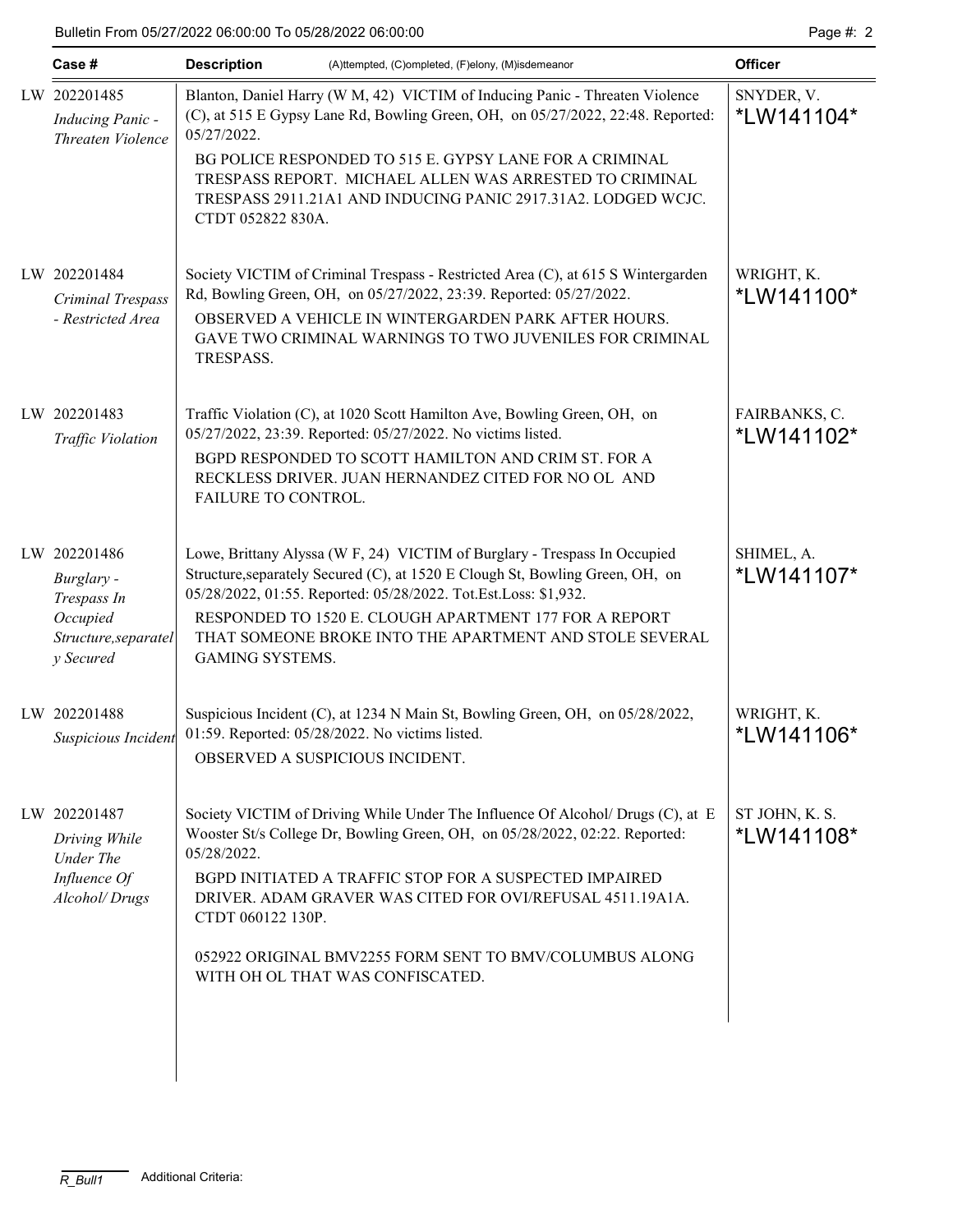|  | Case #                                                                                     | <b>Description</b>                                                                                                                                                                                             | (A)ttempted, (C)ompleted, (F)elony, (M)isdemeanor                                                                                                                                   | <b>Officer</b>              |  |  |  |
|--|--------------------------------------------------------------------------------------------|----------------------------------------------------------------------------------------------------------------------------------------------------------------------------------------------------------------|-------------------------------------------------------------------------------------------------------------------------------------------------------------------------------------|-----------------------------|--|--|--|
|  | LW 202201485<br><b>Inducing Panic -</b><br>Threaten Violence                               | Blanton, Daniel Harry (W M, 42) VICTIM of Inducing Panic - Threaten Violence<br>(C), at 515 E Gypsy Lane Rd, Bowling Green, OH, on 05/27/2022, 22:48. Reported:<br>05/27/2022.                                 | SNYDER, V.<br>*LW141104*                                                                                                                                                            |                             |  |  |  |
|  |                                                                                            | CTDT 052822 830A.                                                                                                                                                                                              | BG POLICE RESPONDED TO 515 E. GYPSY LANE FOR A CRIMINAL<br>TRESPASS REPORT. MICHAEL ALLEN WAS ARRESTED TO CRIMINAL<br>TRESPASS 2911.21A1 AND INDUCING PANIC 2917.31A2. LODGED WCJC. |                             |  |  |  |
|  | LW 202201484                                                                               |                                                                                                                                                                                                                | Society VICTIM of Criminal Trespass - Restricted Area (C), at 615 S Wintergarden<br>Rd, Bowling Green, OH, on 05/27/2022, 23:39. Reported: 05/27/2022.                              | WRIGHT, K.                  |  |  |  |
|  | Criminal Trespass<br>- Restricted Area                                                     | OBSERVED A VEHICLE IN WINTERGARDEN PARK AFTER HOURS.<br>GAVE TWO CRIMINAL WARNINGS TO TWO JUVENILES FOR CRIMINAL<br>TRESPASS.                                                                                  | *LW141100*                                                                                                                                                                          |                             |  |  |  |
|  | LW 202201483<br>Traffic Violation                                                          |                                                                                                                                                                                                                | Traffic Violation (C), at 1020 Scott Hamilton Ave, Bowling Green, OH, on<br>05/27/2022, 23:39. Reported: 05/27/2022. No victims listed.                                             | FAIRBANKS, C.<br>*LW141102* |  |  |  |
|  |                                                                                            | FAILURE TO CONTROL.                                                                                                                                                                                            | BGPD RESPONDED TO SCOTT HAMILTON AND CRIM ST. FOR A<br>RECKLESS DRIVER. JUAN HERNANDEZ CITED FOR NO OL AND                                                                          |                             |  |  |  |
|  | LW 202201486<br>Burglary -<br>Trespass In<br>Occupied<br>Structure, separatel<br>y Secured | Lowe, Brittany Alyssa (W F, 24) VICTIM of Burglary - Trespass In Occupied<br>Structure, separately Secured (C), at 1520 E Clough St, Bowling Green, OH, on                                                     | SHIMEL, A.<br>*LW141107*                                                                                                                                                            |                             |  |  |  |
|  |                                                                                            | 05/28/2022, 01:55. Reported: 05/28/2022. Tot.Est.Loss: \$1,932.<br>RESPONDED TO 1520 E. CLOUGH APARTMENT 177 FOR A REPORT<br>THAT SOMEONE BROKE INTO THE APARTMENT AND STOLE SEVERAL<br><b>GAMING SYSTEMS.</b> |                                                                                                                                                                                     |                             |  |  |  |
|  | LW 202201488<br>Suspicious Incident                                                        |                                                                                                                                                                                                                | Suspicious Incident (C), at 1234 N Main St, Bowling Green, OH, on 05/28/2022,<br>01:59. Reported: 05/28/2022. No victims listed.<br>OBSERVED A SUSPICIOUS INCIDENT.                 | WRIGHT, K.<br>*LW141106*    |  |  |  |
|  | LW 202201487                                                                               |                                                                                                                                                                                                                | Society VICTIM of Driving While Under The Influence Of Alcohol/ Drugs (C), at E                                                                                                     | ST JOHN, K. S.              |  |  |  |
|  | Driving While<br>Under The<br>Influence Of<br>Alcohol/Drugs                                | 05/28/2022.                                                                                                                                                                                                    | Wooster St/s College Dr, Bowling Green, OH, on 05/28/2022, 02:22. Reported:                                                                                                         | *LW141108*                  |  |  |  |
|  |                                                                                            | CTDT 060122 130P.                                                                                                                                                                                              | BGPD INITIATED A TRAFFIC STOP FOR A SUSPECTED IMPAIRED<br>DRIVER. ADAM GRAVER WAS CITED FOR OVI/REFUSAL 4511.19A1A.                                                                 |                             |  |  |  |
|  |                                                                                            |                                                                                                                                                                                                                | 052922 ORIGINAL BMV2255 FORM SENT TO BMV/COLUMBUS ALONG<br>WITH OH OL THAT WAS CONFISCATED.                                                                                         |                             |  |  |  |
|  |                                                                                            |                                                                                                                                                                                                                |                                                                                                                                                                                     |                             |  |  |  |
|  |                                                                                            |                                                                                                                                                                                                                |                                                                                                                                                                                     |                             |  |  |  |